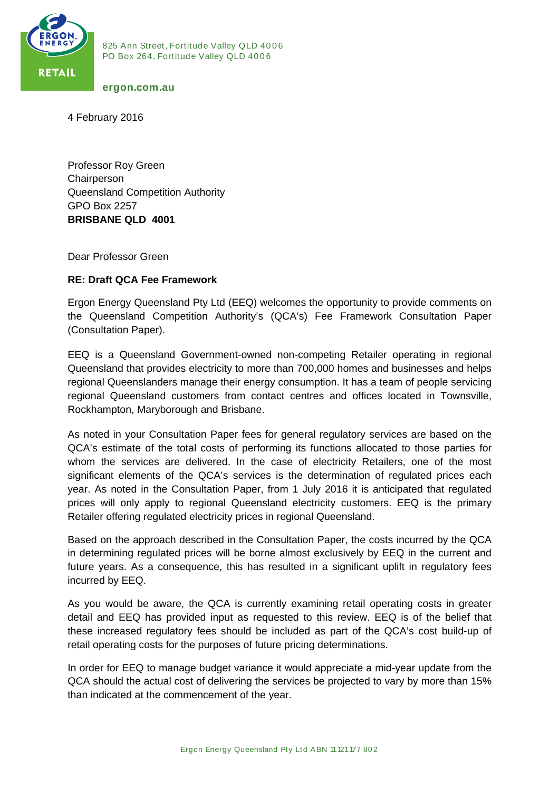

825 Ann Street, Fortitude Valley QLD 4006 PO Box 264, Fortitude Valley QLD 4006

## **ergon.com.au**

4 February 2016

Professor Roy Green Chairperson Queensland Competition Authority GPO Box 2257 **BRISBANE QLD 4001** 

Dear Professor Green

## **RE: Draft QCA Fee Framework**

Ergon Energy Queensland Pty Ltd (EEQ) welcomes the opportunity to provide comments on the Queensland Competition Authority's (QCA's) Fee Framework Consultation Paper (Consultation Paper).

EEQ is a Queensland Government-owned non-competing Retailer operating in regional Queensland that provides electricity to more than 700,000 homes and businesses and helps regional Queenslanders manage their energy consumption. It has a team of people servicing regional Queensland customers from contact centres and offices located in Townsville, Rockhampton, Maryborough and Brisbane.

As noted in your Consultation Paper fees for general regulatory services are based on the QCA's estimate of the total costs of performing its functions allocated to those parties for whom the services are delivered. In the case of electricity Retailers, one of the most significant elements of the QCA's services is the determination of regulated prices each year. As noted in the Consultation Paper, from 1 July 2016 it is anticipated that regulated prices will only apply to regional Queensland electricity customers. EEQ is the primary Retailer offering regulated electricity prices in regional Queensland.

Based on the approach described in the Consultation Paper, the costs incurred by the QCA in determining regulated prices will be borne almost exclusively by EEQ in the current and future years. As a consequence, this has resulted in a significant uplift in regulatory fees incurred by EEQ.

As you would be aware, the QCA is currently examining retail operating costs in greater detail and EEQ has provided input as requested to this review. EEQ is of the belief that these increased regulatory fees should be included as part of the QCA's cost build-up of retail operating costs for the purposes of future pricing determinations.

In order for EEQ to manage budget variance it would appreciate a mid-year update from the QCA should the actual cost of delivering the services be projected to vary by more than 15% than indicated at the commencement of the year.